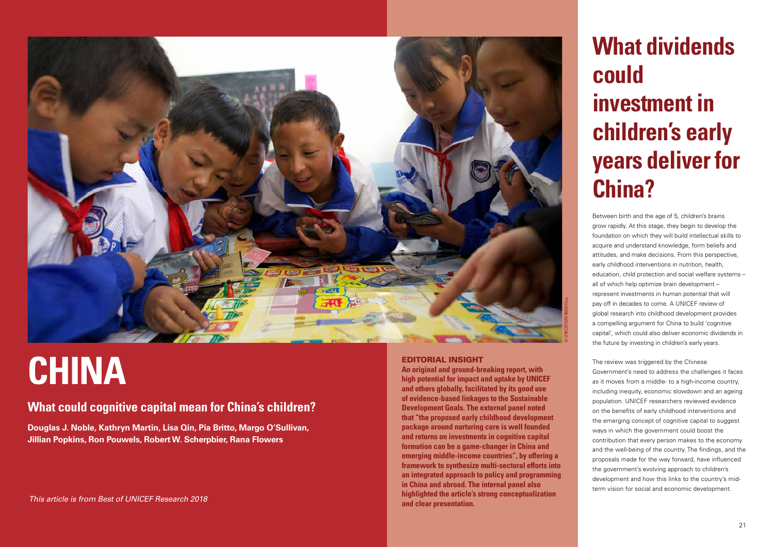## **What dividends could investment in children's early years deliver for China?**

Between birth and the age of 5, children's brains grow rapidly. At this stage, they begin to develop the foundation on which they will build intellectual skills to acquire and understand knowledge, form beliefs and attitudes, and make decisions. From this perspective, early childhood interventions in nutrition, health, education, child protection and social welfare systems – all of which help optimize brain development – represent investments in human potential that will pay off in decades to come. A UNICEF review of global research into childhood development provides a compelling argument for China to build 'cognitive capital', which could also deliver economic dividends in the future by investing in children's early years.

The review was triggered by the Chinese Government's need to address the challenges it faces as it moves from a middle- to a high-income country, including inequity, economic slowdown and an ageing population. UNICEF researchers reviewed evidence on the benefits of early childhood interventions and the emerging concept of cognitive capital to suggest ways in which the government could boost the contribution that every person makes to the economy and the well-being of the country. The findings, and the proposals made for the way forward, have influenced the government's evolving approach to children's development and how this links to the country's midterm vision for social and economic development.



#### EDITORIAL INSIGHT

**An original and ground-breaking report, with high potential for impact and uptake by UNICEF and others globally, facilitated by its good use of evidence-based linkages to the Sustainable Development Goals. The external panel noted that "the proposed early childhood development package around nurturing care is well founded and returns on investments in cognitive capital formation can be a game-changer in China and emerging middle-income countries", by offering a framework to synthesize multi-sectoral efforts into an integrated approach to policy and programming in China and abroad. The internal panel also highlighted the article's strong conceptualization and clear presentation.**

# **CHINA**

### **What could cognitive capital mean for China's children?**

**Douglas J. Noble, Kathryn Martin, Lisa Qin, Pia Britto, Margo O'Sullivan, Jillian Popkins, Ron Pouwels, Robert W. Scherpbier, Rana Flowers**

This article is from Best of UNICEF Research 2018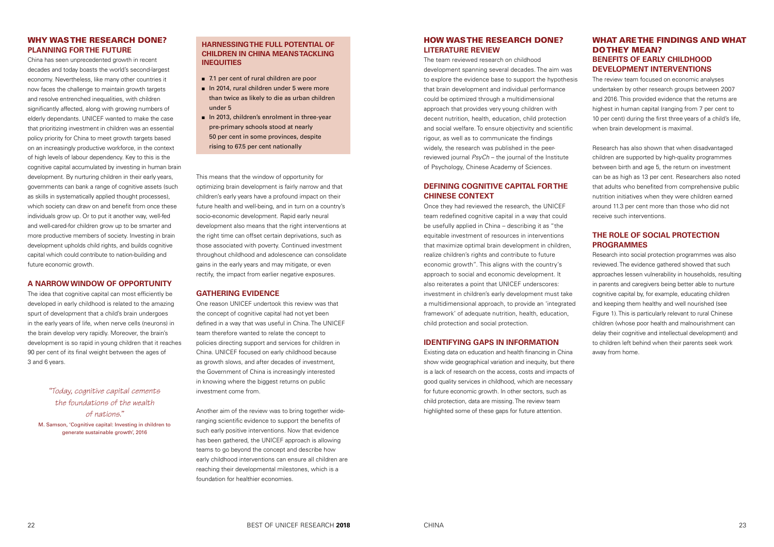#### HOW WAS THE RESEARCH DONE? **LITERATURE REVIEW**

The team reviewed research on childhood development spanning several decades. The aim was to explore the evidence base to support the hypothesis that brain development and individual performance could be optimized through a multidimensional approach that provides very young children with decent nutrition, health, education, child protection and social welfare. To ensure objectivity and scientific rigour, as well as to communicate the findings widely, the research was published in the peerreviewed journal *PsyCh* – the journal of the Institute of Psychology, Chinese Academy of Sciences.

#### **DEFINING COGNITIVE CAPITAL FOR THE CHINESE CONTEXT**

Once they had reviewed the research, the UNICEF team redefined cognitive capital in a way that could be usefully applied in China – describing it as "the equitable investment of resources in interventions that maximize optimal brain development in children, realize children's rights and contribute to future economic growth". This aligns with the country's approach to social and economic development. It also reiterates a point that UNICEF underscores: investment in children's early development must take a multidimensional approach, to provide an 'integrated framework' of adequate nutrition, health, education, child protection and social protection.

#### **IDENTIFYING GAPS IN INFORMATION**

Existing data on education and health financing in China show wide geographical variation and inequity, but there is a lack of research on the access, costs and impacts of good quality services in childhood, which are necessary for future economic growth. In other sectors, such as child protection, data are missing. The review team highlighted some of these gaps for future attention.

#### WHAT ARE THE FINDINGS AND WHAT DO THEY MEAN? **BENEFITS OF EARLY CHILDHOOD DEVELOPMENT INTERVENTIONS**

The review team focused on economic analyses undertaken by other research groups between 2007 and 2016. This provided evidence that the returns are highest in human capital (ranging from 7 per cent to 10 per cent) during the first three years of a child's life, when brain development is maximal.

Research has also shown that when disadvantaged children are supported by high-quality programmes between birth and age 5, the return on investment can be as high as 13 per cent. Researchers also noted that adults who benefited from comprehensive public nutrition initiatives when they were children earned around 11.3 per cent more than those who did not receive such interventions.

#### **THE ROLE OF SOCIAL PROTECTION PROGRAMMES**

Research into social protection programmes was also reviewed. The evidence gathered showed that such approaches lessen vulnerability in households, resulting in parents and caregivers being better able to nurture cognitive capital by, for example, educating children and keeping them healthy and well nourished (see Figure 1). This is particularly relevant to rural Chinese children (whose poor health and malnourishment can delay their cognitive and intellectual development) and to children left behind when their parents seek work away from home.

#### WHY WAS THE RESEARCH DONE? **PLANNING FOR THE FUTURE**

Another aim of the review was to bring together wideranging scientific evidence to support the benefits of such early positive interventions. Now that evidence has been gathered, the UNICEF approach is allowing teams to go beyond the concept and describe how early childhood interventions can ensure all children are reaching their developmental milestones, which is a foundation for healthier economies.

- 7.1 per cent of rural children are poor
- In 2014, rural children under 5 were more than twice as likely to die as urban children under 5
- In 2013, children's enrolment in three-year pre-primary schools stood at nearly 50 per cent in some provinces, despite rising to 67.5 per cent nationally

China has seen unprecedented growth in recent decades and today boasts the world's second-largest economy. Nevertheless, like many other countries it now faces the challenge to maintain growth targets and resolve entrenched inequalities, with children significantly affected, along with growing numbers of elderly dependants. UNICEF wanted to make the case that prioritizing investment in children was an essential policy priority for China to meet growth targets based on an increasingly productive workforce, in the context of high levels of labour dependency. Key to this is the cognitive capital accumulated by investing in human brain development. By nurturing children in their early years, governments can bank a range of cognitive assets (such as skills in systematically applied thought processes), which society can draw on and benefit from once these individuals grow up. Or to put it another way, well-fed and well-cared-for children grow up to be smarter and more productive members of society. Investing in brain development upholds child rights, and builds cognitive capital which could contribute to nation-building and future economic growth.

#### **A NARROW WINDOW OF OPPORTUNITY**

The idea that cognitive capital can most efficiently be developed in early childhood is related to the amazing spurt of development that a child's brain undergoes in the early years of life, when nerve cells (neurons) in the brain develop very rapidly. Moreover, the brain's development is so rapid in young children that it reaches 90 per cent of its final weight between the ages of 3 and 6 years.

*"Today, cognitive capital cements the foundations of the wealth of nations."*  M. Samson, 'Cognitive capital: Investing in children to generate sustainable growth', 2016

This means that the window of opportunity for optimizing brain development is fairly narrow and that children's early years have a profound impact on their future health and well-being, and in turn on a country's socio-economic development. Rapid early neural development also means that the right interventions at the right time can offset certain deprivations, such as those associated with poverty. Continued investment throughout childhood and adolescence can consolidate gains in the early years and may mitigate, or even rectify, the impact from earlier negative exposures.

#### **GATHERING EVIDENCE**

One reason UNICEF undertook this review was that the concept of cognitive capital had not yet been defined in a way that was useful in China. The UNICEF team therefore wanted to relate the concept to policies directing support and services for children in China. UNICEF focused on early childhood because as growth slows, and after decades of investment, the Government of China is increasingly interested in knowing where the biggest returns on public investment come from.

#### **HARNESSING THE FULL POTENTIAL OF CHILDREN IN CHINA MEANS TACKLING INEQUITIES**